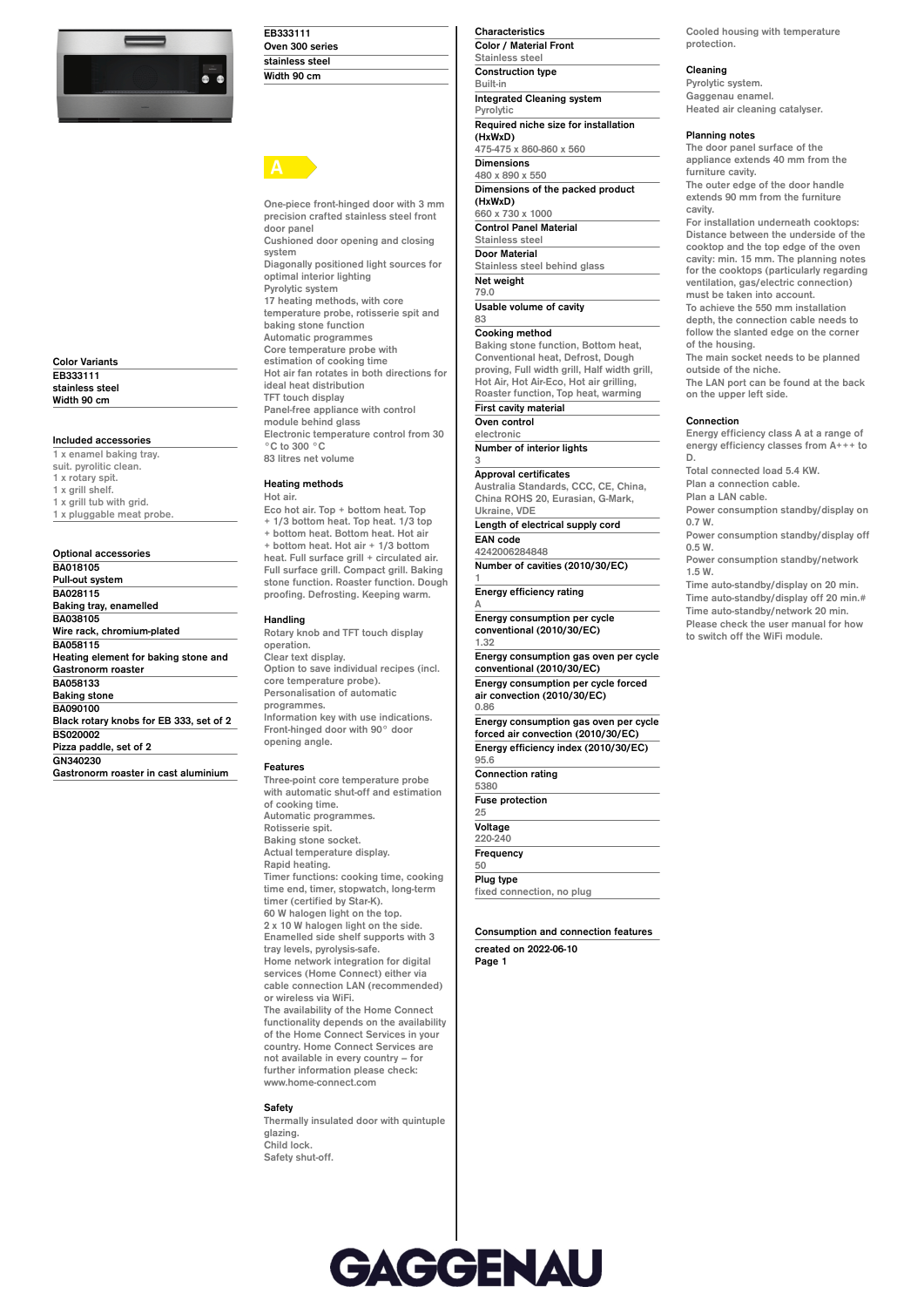

**Color Variants EB333111 stainless steel Width 90 cm**

# **Included accessories**

**1 x enamel baking tray. suit. pyrolitic clean. 1 x rotary spit. 1 x grill shelf. 1 x grill tub with grid. 1 x pluggable meat probe.**

**Optional accessories BA018105 Pull-out system BA028115 Baking tray, enamelled BA038105 Wire rack, chromium-plated BA058115 Heating element for baking stone and Gastronorm roaster BA058133 Baking stone BA090100 Black rotary knobs for EB 333, set of 2 BS020002 Pizza paddle, set of 2 GN340230 Gastronorm roaster in cast aluminium**

| EB333111        |  |
|-----------------|--|
| Oven 300 series |  |
| stainless steel |  |
| Width 90 cm     |  |

**One-piece front-hinged door with 3 mm precision crafted stainless steel front door panel Cushioned door opening and closing system Diagonally positioned light sources for optimal interior lighting Pyrolytic system 17 heating methods, with core temperature probe, rotisserie spit and baking stone function Automatic programmes Core temperature probe with estimation of cooking time Hot air fan rotates in both directions for ideal heat distribution TFT touch display Panel-free appliance with control module behind glass Electronic temperature control from 30 °C to 300 °C 83 litres net volume**

# **Heating methods**

# **Hot air.**

**Eco hot air. Top + bottom heat. Top + 1/3 bottom heat. Top heat. 1/3 top + bottom heat. Bottom heat. Hot air + bottom heat. Hot air + 1/3 bottom heat. Full surface grill + circulated air. Full surface grill. Compact grill. Baking stone function. Roaster function. Dough proofing. Defrosting. Keeping warm.**

# **Handling**

**Rotary knob and TFT touch display operation. Clear text display. Option to save individual recipes (incl. core temperature probe). Personalisation of automatic programmes. Information key with use indications. Front-hinged door with 90° door opening angle.**

#### **Features**

**Three-point core temperature probe with automatic shut-off and estimation of cooking time. Automatic programmes. Rotisserie spit. Baking stone socket. Actual temperature display. Rapid heating. Timer functions: cooking time, cooking time end, timer, stopwatch, long-term timer (certified by Star-K). 60 W halogen light on the top. 2 x 10 W halogen light on the side. Enamelled side shelf supports with 3 tray levels, pyrolysis-safe. Home network integration for digital services (Home Connect) either via cable connection LAN (recommended) or wireless via WiFi. The availability of the Home Connect functionality depends on the availability of the Home Connect Services in your country. Home Connect Services are not available in every country – for further information please check:**

**www.home-connect.com**

**Safety Thermally insulated door with quintuple glazing. Child lock. Safety shut-off.**

**Color / Material Front Stainless steel Construction type Built-in Integrated Cleaning system Pyrolytic Required niche size for installation (HxWxD) 475-475 x 860-860 x 560 Dimensions 480 x 890 x 550 Dimensions of the packed product (HxWxD) 660 x 730 x 1000 Control Panel Material Stainless steel Door Material Stainless steel behind glass Net weight 79.0 Usable volume of cavity 83 Cooking method Baking stone function, Bottom heat,**

**Characteristics**

**Conventional heat, Defrost, Dough proving, Full width grill, Half width grill, Hot Air, Hot Air-Eco, Hot air grilling, Roaster function, Top heat, warming First cavity material**

**Oven control electronic**

**Number of interior lights**

# **Approval certificates**

**3**

**1**

**Australia Standards, CCC, CE, China, China ROHS 20, Eurasian, G-Mark, Ukraine, VDE**

**Length of electrical supply cord EAN code**

**4242006284848 Number of cavities (2010/30/EC)**

**Energy efficiency rating A**

**Energy consumption per cycle conventional (2010/30/EC) 1.32**

**Energy consumption gas oven per cycle conventional (2010/30/EC) Energy consumption per cycle forced air convection (2010/30/EC)**

**0.86 Energy consumption gas oven per cycle forced air convection (2010/30/EC) Energy efficiency index (2010/30/EC) 95.6**

**Connection rating 5380**

**Fuse protection 25**

**Voltage 220-240 Frequency 50**

**Plug type fixed connection, no plug**

**Consumption and connection features created on 2022-06-10 Page 1**

**Cooled housing with temperature protection.**

# **Cleaning**

**Pyrolytic system. Gaggenau enamel. Heated air cleaning catalyser.**

## **Planning notes**

**The door panel surface of the appliance extends 40 mm from the furniture cavity.**

**The outer edge of the door handle extends 90 mm from the furniture cavity.**

**For installation underneath cooktops: Distance between the underside of the cooktop and the top edge of the oven cavity: min. 15 mm. The planning notes for the cooktops (particularly regarding ventilation, gas/electric connection) must be taken into account.**

**To achieve the 550 mm installation depth, the connection cable needs to follow the slanted edge on the corner of the housing.**

**The main socket needs to be planned outside of the niche.**

**The LAN port can be found at the back on the upper left side.**

# **Connection**

**Energy efficiency class A at a range of energy efficiency classes from A+++ to D.**

**Total connected load 5.4 KW. Plan a connection cable.**

**Plan a LAN cable. Power consumption standby/display on**

**0.7 W. Power consumption standby/display off**

**0.5 W. Power consumption standby/network 1.5 W.**

**Time auto-standby/display on 20 min. Time auto-standby/display off 20 min.# Time auto-standby/network 20 min. Please check the user manual for how to switch off the WiFi module.**